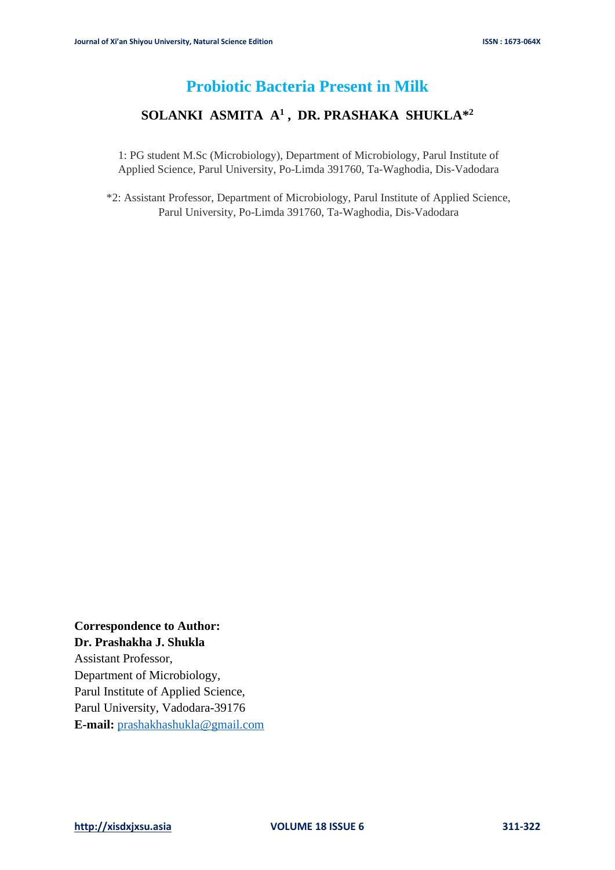# **Probiotic Bacteria Present in Milk**

### **SOLANKI ASMITA A<sup>1</sup> , DR. PRASHAKA SHUKLA\* 2**

1: PG student M.Sc (Microbiology), Department of Microbiology, Parul Institute of Applied Science, Parul University, Po-Limda 391760, Ta-Waghodia, Dis-Vadodara

\*2: Assistant Professor, Department of Microbiology, Parul Institute of Applied Science, Parul University, Po-Limda 391760, Ta-Waghodia, Dis-Vadodara

**Correspondence to Author: Dr. Prashakha J. Shukla** Assistant Professor, Department of Microbiology, Parul Institute of Applied Science, Parul University, Vadodara-39176 **E-mail:** [prashakhashukla@gmail.com](mailto:prashakhashukla@gmail.com)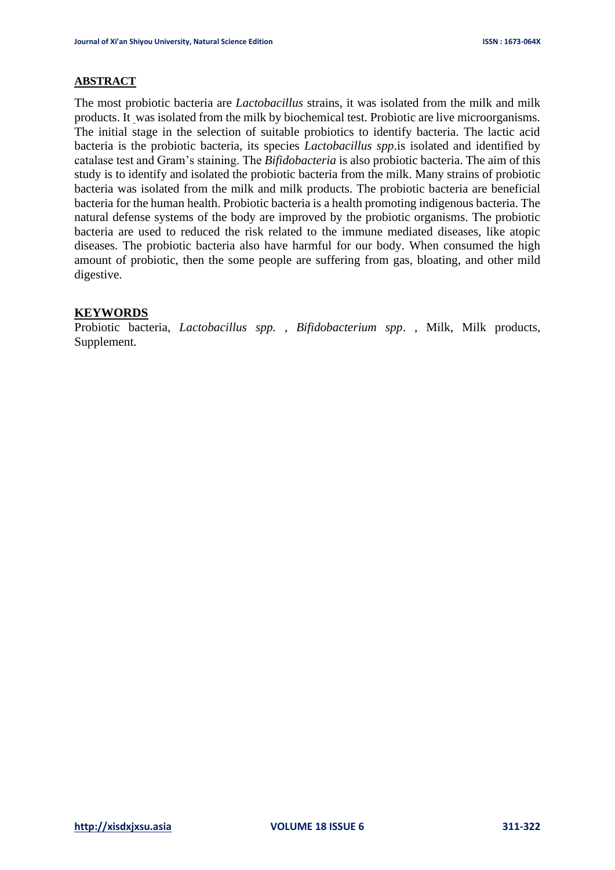#### **ABSTRACT**

The most probiotic bacteria are *Lactobacillus* strains, it was isolated from the milk and milk products. It was isolated from the milk by biochemical test. Probiotic are live microorganisms. The initial stage in the selection of suitable probiotics to identify bacteria. The lactic acid bacteria is the probiotic bacteria, its species *Lactobacillus spp*.is isolated and identified by catalase test and Gram's staining. The *Bifidobacteria* is also probiotic bacteria. The aim of this study is to identify and isolated the probiotic bacteria from the milk. Many strains of probiotic bacteria was isolated from the milk and milk products. The probiotic bacteria are beneficial bacteria for the human health. Probiotic bacteria is a health promoting indigenous bacteria. The natural defense systems of the body are improved by the probiotic organisms. The probiotic bacteria are used to reduced the risk related to the immune mediated diseases, like atopic diseases. The probiotic bacteria also have harmful for our body. When consumed the high amount of probiotic, then the some people are suffering from gas, bloating, and other mild digestive.

#### **KEYWORDS**

Probiotic bacteria, *Lactobacillus spp. , Bifidobacterium spp*. , Milk, Milk products, Supplement.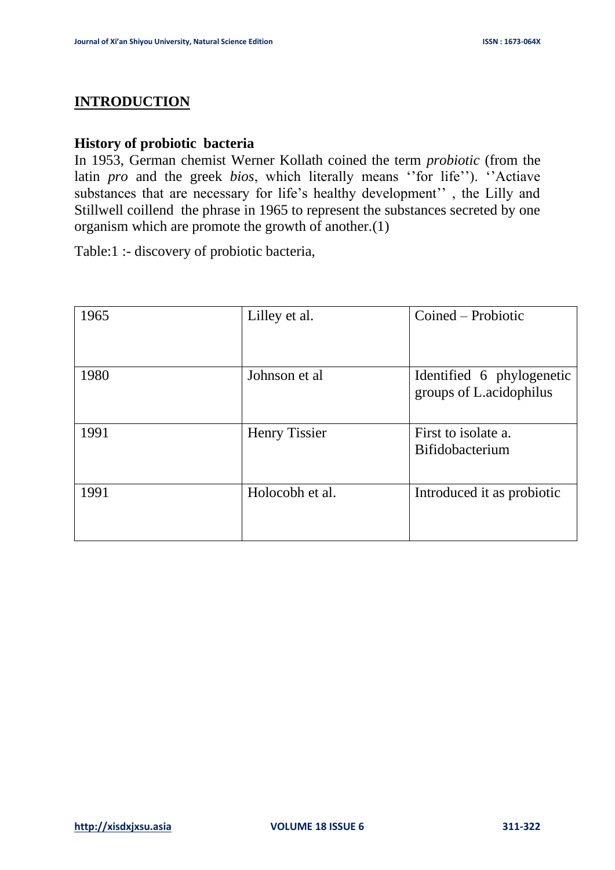# **INTRODUCTION**

## **History of probiotic bacteria**

In 1953, German chemist Werner Kollath coined the term *probiotic* (from the latin *pro* and the greek *bios*, which literally means ''for life''). ''Actiave substances that are necessary for life's healthy development'' , the Lilly and Stillwell coillend the phrase in 1965 to represent the substances secreted by one organism which are promote the growth of another.(1)

Table:1 :- discovery of probiotic bacteria,

| 1965 | Lilley et al.        | Coined – Probiotic                                   |
|------|----------------------|------------------------------------------------------|
| 1980 | Johnson et al        | Identified 6 phylogenetic<br>groups of L.acidophilus |
| 1991 | <b>Henry Tissier</b> | First to isolate a.<br><b>Bifidobacterium</b>        |
| 1991 | Holocobh et al.      | Introduced it as probiotic                           |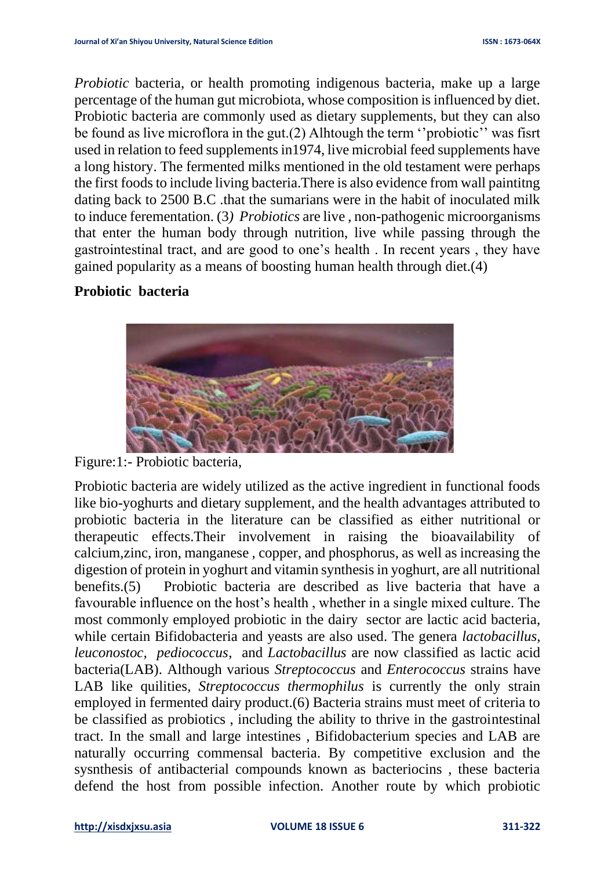*Probiotic* bacteria, or health promoting indigenous bacteria, make up a large percentage of the human gut microbiota, whose composition is influenced by diet. Probiotic bacteria are commonly used as dietary supplements, but they can also be found as live microflora in the gut.(2) Alhtough the term ''probiotic'' was fisrt used in relation to feed supplements in1974, live microbial feed supplements have a long history. The fermented milks mentioned in the old testament were perhaps the first foods to include living bacteria.There is also evidence from wall paintitng dating back to 2500 B.C .that the sumarians were in the habit of inoculated milk to induce ferementation. (3*) Probiotics* are live , non-pathogenic microorganisms that enter the human body through nutrition, live while passing through the gastrointestinal tract, and are good to one's health . In recent years , they have gained popularity as a means of boosting human health through diet.(4)

# **Probiotic bacteria**



Figure:1:- Probiotic bacteria,

Probiotic bacteria are widely utilized as the active ingredient in functional foods like bio-yoghurts and dietary supplement, and the health advantages attributed to probiotic bacteria in the literature can be classified as either nutritional or therapeutic effects.Their involvement in raising the bioavailability of calcium,zinc, iron, manganese , copper, and phosphorus, as well as increasing the digestion of protein in yoghurt and vitamin synthesis in yoghurt, are all nutritional benefits.(5) Probiotic bacteria are described as live bacteria that have a favourable influence on the host's health , whether in a single mixed culture. The most commonly employed probiotic in the dairy sector are lactic acid bacteria, while certain Bifidobacteria and yeasts are also used. The genera *lactobacillus, leuconostoc, pediococcus*, and *Lactobacillus* are now classified as lactic acid bacteria(LAB). Although various *Streptococcus* and *Enterococcus* strains have LAB like quilities*, Streptococcus thermophilus* is currently the only strain employed in fermented dairy product.(6) Bacteria strains must meet of criteria to be classified as probiotics , including the ability to thrive in the gastrointestinal tract. In the small and large intestines , Bifidobacterium species and LAB are naturally occurring commensal bacteria. By competitive exclusion and the sysnthesis of antibacterial compounds known as bacteriocins , these bacteria defend the host from possible infection. Another route by which probiotic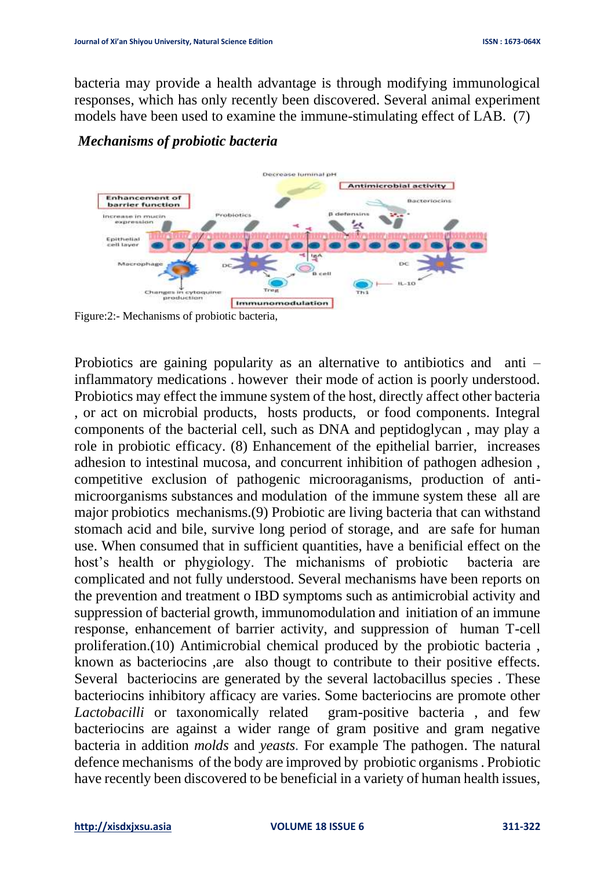bacteria may provide a health advantage is through modifying immunological responses, which has only recently been discovered. Several animal experiment models have been used to examine the immune-stimulating effect of LAB. (7)



# *Mechanisms of probiotic bacteria*

Figure:2:- Mechanisms of probiotic bacteria,

Probiotics are gaining popularity as an alternative to antibiotics and anti – inflammatory medications . however their mode of action is poorly understood. Probiotics may effect the immune system of the host, directly affect other bacteria , or act on microbial products, hosts products, or food components. Integral components of the bacterial cell, such as DNA and peptidoglycan , may play a role in probiotic efficacy. (8) Enhancement of the epithelial barrier, increases adhesion to intestinal mucosa, and concurrent inhibition of pathogen adhesion , competitive exclusion of pathogenic microoraganisms, production of antimicroorganisms substances and modulation of the immune system these all are major probiotics mechanisms.(9) Probiotic are living bacteria that can withstand stomach acid and bile, survive long period of storage, and are safe for human use. When consumed that in sufficient quantities, have a benificial effect on the host's health or phygiology. The michanisms of probiotic bacteria are complicated and not fully understood. Several mechanisms have been reports on the prevention and treatment o IBD symptoms such as antimicrobial activity and suppression of bacterial growth, immunomodulation and initiation of an immune response, enhancement of barrier activity, and suppression of human T-cell proliferation.(10) Antimicrobial chemical produced by the probiotic bacteria , known as bacteriocins ,are also thougt to contribute to their positive effects. Several bacteriocins are generated by the several lactobacillus species . These bacteriocins inhibitory afficacy are varies. Some bacteriocins are promote other *Lactobacilli* or taxonomically related gram-positive bacteria , and few bacteriocins are against a wider range of gram positive and gram negative bacteria in addition *molds* and *yeasts.* For example The pathogen. The natural defence mechanisms of the body are improved by probiotic organisms . Probiotic have recently been discovered to be beneficial in a variety of human health issues,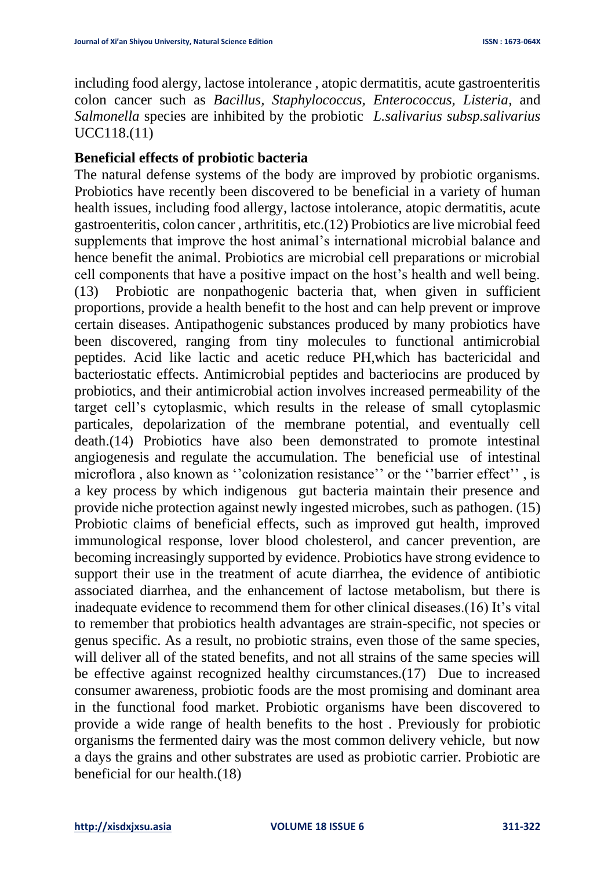including food alergy, lactose intolerance , atopic dermatitis, acute gastroenteritis colon cancer such as *Bacillus, Staphylococcus, Enterococcus, Listeria*, and *Salmonella* species are inhibited by the probiotic *L.salivarius subsp.salivarius* UCC118.(11)

### **Beneficial effects of probiotic bacteria**

The natural defense systems of the body are improved by probiotic organisms. Probiotics have recently been discovered to be beneficial in a variety of human health issues, including food allergy, lactose intolerance, atopic dermatitis, acute gastroenteritis, colon cancer , arthrititis, etc.(12) Probiotics are live microbial feed supplements that improve the host animal's international microbial balance and hence benefit the animal. Probiotics are microbial cell preparations or microbial cell components that have a positive impact on the host's health and well being. (13) Probiotic are nonpathogenic bacteria that, when given in sufficient proportions, provide a health benefit to the host and can help prevent or improve certain diseases. Antipathogenic substances produced by many probiotics have been discovered, ranging from tiny molecules to functional antimicrobial peptides. Acid like lactic and acetic reduce PH,which has bactericidal and bacteriostatic effects. Antimicrobial peptides and bacteriocins are produced by probiotics, and their antimicrobial action involves increased permeability of the target cell's cytoplasmic, which results in the release of small cytoplasmic particales, depolarization of the membrane potential, and eventually cell death.(14) Probiotics have also been demonstrated to promote intestinal angiogenesis and regulate the accumulation. The beneficial use of intestinal microflora , also known as ''colonization resistance'' or the ''barrier effect'' , is a key process by which indigenous gut bacteria maintain their presence and provide niche protection against newly ingested microbes, such as pathogen. (15) Probiotic claims of beneficial effects, such as improved gut health, improved immunological response, lover blood cholesterol, and cancer prevention, are becoming increasingly supported by evidence. Probiotics have strong evidence to support their use in the treatment of acute diarrhea, the evidence of antibiotic associated diarrhea, and the enhancement of lactose metabolism, but there is inadequate evidence to recommend them for other clinical diseases.(16) It's vital to remember that probiotics health advantages are strain-specific, not species or genus specific. As a result, no probiotic strains, even those of the same species, will deliver all of the stated benefits, and not all strains of the same species will be effective against recognized healthy circumstances.(17) Due to increased consumer awareness, probiotic foods are the most promising and dominant area in the functional food market. Probiotic organisms have been discovered to provide a wide range of health benefits to the host . Previously for probiotic organisms the fermented dairy was the most common delivery vehicle, but now a days the grains and other substrates are used as probiotic carrier. Probiotic are beneficial for our health.(18)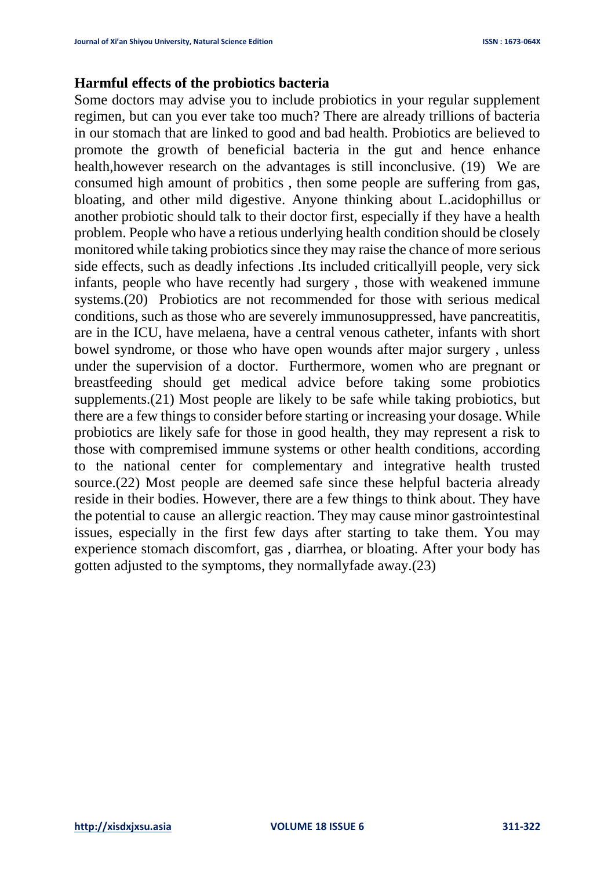#### **Harmful effects of the probiotics bacteria**

Some doctors may advise you to include probiotics in your regular supplement regimen, but can you ever take too much? There are already trillions of bacteria in our stomach that are linked to good and bad health. Probiotics are believed to promote the growth of beneficial bacteria in the gut and hence enhance health,however research on the advantages is still inconclusive. (19) We are consumed high amount of probitics , then some people are suffering from gas, bloating, and other mild digestive. Anyone thinking about L.acidophillus or another probiotic should talk to their doctor first, especially if they have a health problem. People who have a retious underlying health condition should be closely monitored while taking probiotics since they may raise the chance of more serious side effects, such as deadly infections .Its included criticallyill people, very sick infants, people who have recently had surgery , those with weakened immune systems.(20) Probiotics are not recommended for those with serious medical conditions, such as those who are severely immunosuppressed, have pancreatitis, are in the ICU, have melaena, have a central venous catheter, infants with short bowel syndrome, or those who have open wounds after major surgery , unless under the supervision of a doctor. Furthermore, women who are pregnant or breastfeeding should get medical advice before taking some probiotics supplements.(21) Most people are likely to be safe while taking probiotics, but there are a few things to consider before starting or increasing your dosage. While probiotics are likely safe for those in good health, they may represent a risk to those with compremised immune systems or other health conditions, according to the national center for complementary and integrative health trusted source.(22) Most people are deemed safe since these helpful bacteria already reside in their bodies. However, there are a few things to think about. They have the potential to cause an allergic reaction. They may cause minor gastrointestinal issues, especially in the first few days after starting to take them. You may experience stomach discomfort, gas , diarrhea, or bloating. After your body has gotten adjusted to the symptoms, they normallyfade away.(23)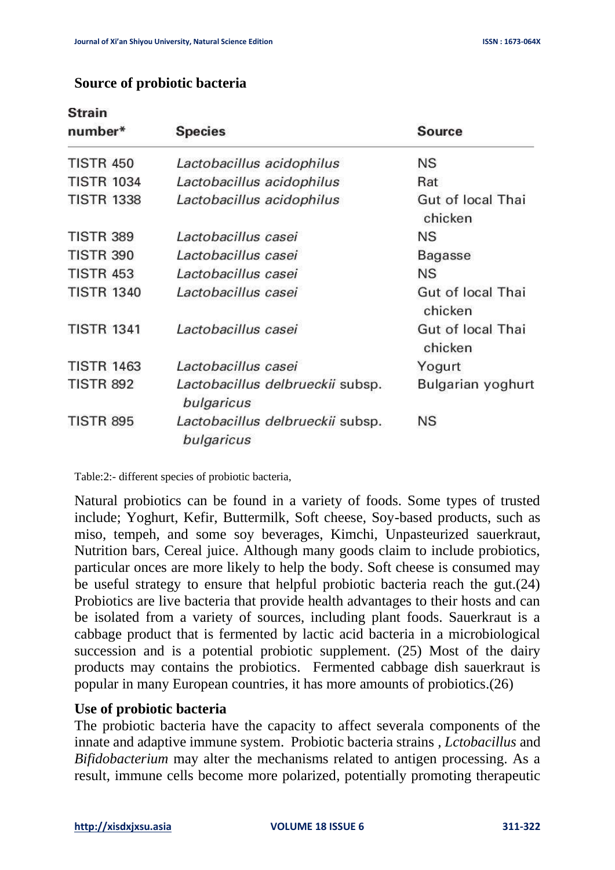| number*           | <b>Species</b>                                 | <b>Source</b>                |
|-------------------|------------------------------------------------|------------------------------|
| <b>TISTR 450</b>  | Lactobacillus acidophilus                      | NS                           |
| <b>TISTR 1034</b> | Lactobacillus acidophilus                      | Rat                          |
| <b>TISTR 1338</b> | Lactobacillus acidophilus                      | Gut of local Thai<br>chicken |
| <b>TISTR 389</b>  | Lactobacillus casei                            | NS                           |
| <b>TISTR 390</b>  | Lactobacillus casei                            | Bagasse                      |
| <b>TISTR 453</b>  | Lactobacillus casei                            | <b>NS</b>                    |
| <b>TISTR 1340</b> | Lactobacillus casei                            | Gut of local Thai<br>chicken |
| <b>TISTR 1341</b> | Lactobacillus casei                            | Gut of local Thai<br>chicken |
| <b>TISTR 1463</b> | Lactobacillus casei                            | Yogurt                       |
| <b>TISTR 892</b>  | Lactobacillus delbrueckii subsp.<br>bulgaricus | Bulgarian yoghurt            |
| <b>TISTR 895</b>  | Lactobacillus delbrueckii subsp.<br>bulgaricus | <b>NS</b>                    |

#### **Source of probiotic bacteria**

**Strain** 

Table:2:- different species of probiotic bacteria,

Natural probiotics can be found in a variety of foods. Some types of trusted include; Yoghurt, Kefir, Buttermilk, Soft cheese, Soy-based products, such as miso, tempeh, and some soy beverages, Kimchi, Unpasteurized sauerkraut, Nutrition bars, Cereal juice. Although many goods claim to include probiotics, particular onces are more likely to help the body. Soft cheese is consumed may be useful strategy to ensure that helpful probiotic bacteria reach the gut.(24) Probiotics are live bacteria that provide health advantages to their hosts and can be isolated from a variety of sources, including plant foods. Sauerkraut is a cabbage product that is fermented by lactic acid bacteria in a microbiological succession and is a potential probiotic supplement. (25) Most of the dairy products may contains the probiotics. Fermented cabbage dish sauerkraut is popular in many European countries, it has more amounts of probiotics.(26)

### **Use of probiotic bacteria**

The probiotic bacteria have the capacity to affect severala components of the innate and adaptive immune system. Probiotic bacteria strains *, Lctobacillus* and *Bifidobacterium* may alter the mechanisms related to antigen processing. As a result, immune cells become more polarized, potentially promoting therapeutic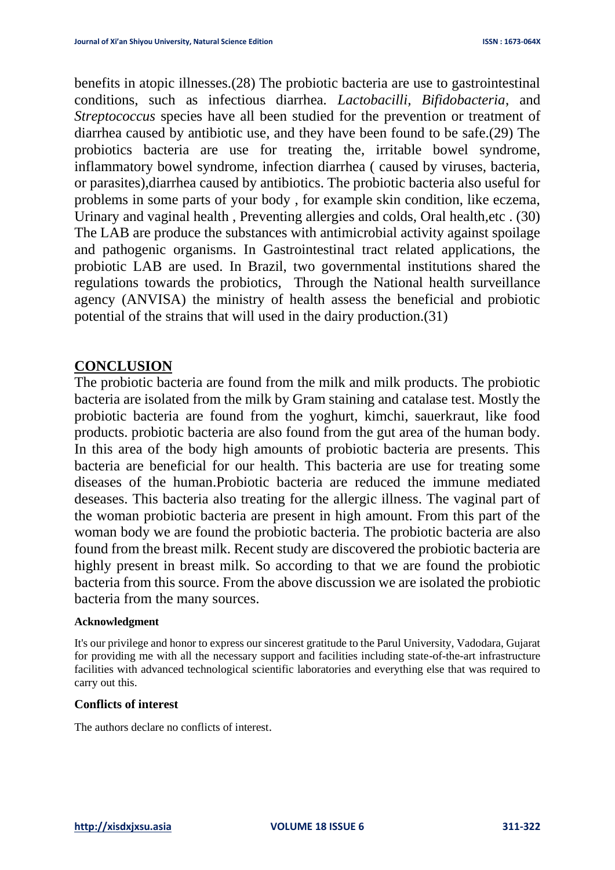benefits in atopic illnesses.(28) The probiotic bacteria are use to gastrointestinal conditions, such as infectious diarrhea*. Lactobacilli, Bifidobacteria*, and *Streptococcus* species have all been studied for the prevention or treatment of diarrhea caused by antibiotic use, and they have been found to be safe.(29) The probiotics bacteria are use for treating the, irritable bowel syndrome, inflammatory bowel syndrome, infection diarrhea ( caused by viruses, bacteria, or parasites),diarrhea caused by antibiotics. The probiotic bacteria also useful for problems in some parts of your body , for example skin condition, like eczema, Urinary and vaginal health , Preventing allergies and colds, Oral health,etc . (30) The LAB are produce the substances with antimicrobial activity against spoilage and pathogenic organisms. In Gastrointestinal tract related applications, the probiotic LAB are used. In Brazil, two governmental institutions shared the regulations towards the probiotics, Through the National health surveillance agency (ANVISA) the ministry of health assess the beneficial and probiotic potential of the strains that will used in the dairy production.(31)

### **CONCLUSION**

The probiotic bacteria are found from the milk and milk products. The probiotic bacteria are isolated from the milk by Gram staining and catalase test. Mostly the probiotic bacteria are found from the yoghurt, kimchi, sauerkraut, like food products. probiotic bacteria are also found from the gut area of the human body. In this area of the body high amounts of probiotic bacteria are presents. This bacteria are beneficial for our health. This bacteria are use for treating some diseases of the human.Probiotic bacteria are reduced the immune mediated deseases. This bacteria also treating for the allergic illness. The vaginal part of the woman probiotic bacteria are present in high amount. From this part of the woman body we are found the probiotic bacteria. The probiotic bacteria are also found from the breast milk. Recent study are discovered the probiotic bacteria are highly present in breast milk. So according to that we are found the probiotic bacteria from this source. From the above discussion we are isolated the probiotic bacteria from the many sources.

#### **Acknowledgment**

It's our privilege and honor to express our sincerest gratitude to the Parul University, Vadodara, Gujarat for providing me with all the necessary support and facilities including state-of-the-art infrastructure facilities with advanced technological scientific laboratories and everything else that was required to carry out this.

#### **Conflicts of interest**

The authors declare no conflicts of interest.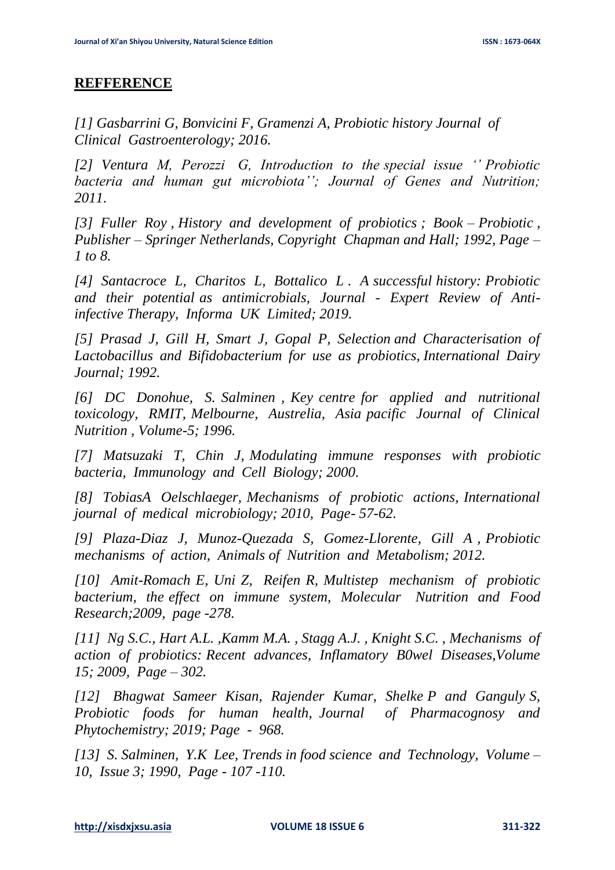### **REFFERENCE**

*[1] Gasbarrini G, Bonvicini F, Gramenzi A, Probiotic history Journal of Clinical Gastroenterology; 2016.* 

*[2] Ventura M, Perozzi G, Introduction to the special issue '' Probiotic bacteria and human gut microbiota''; Journal of Genes and Nutrition; 2011.*

*[3] Fuller Roy , History and development of probiotics ; Book – Probiotic , Publisher – Springer Netherlands, Copyright Chapman and Hall; 1992, Page – 1 to 8.* 

*[4] Santacroce L, Charitos L, Bottalico L . A successful history: Probiotic and their potential as antimicrobials, Journal - Expert Review of Antiinfective Therapy, Informa UK Limited; 2019.*

*[5] Prasad J, Gill H, Smart J, Gopal P, Selection and Characterisation of Lactobacillus and Bifidobacterium for use as probiotics, International Dairy Journal; 1992.*

*[6] DC Donohue, S. Salminen , Key centre for applied and nutritional toxicology, RMIT, Melbourne, Austrelia, Asia pacific Journal of Clinical Nutrition , Volume-5; 1996.*

*[7] Matsuzaki T, Chin J, Modulating immune responses with probiotic bacteria, Immunology and Cell Biology; 2000.* 

*[8] TobiasA Oelschlaeger, Mechanisms of probiotic actions, International journal of medical microbiology; 2010, Page- 57-62.* 

*[9] Plaza-Diaz J, Munoz-Quezada S, Gomez-Llorente, Gill A , Probiotic mechanisms of action, Animals of Nutrition and Metabolism; 2012.*

*[10] Amit-Romach E, Uni Z, Reifen R, Multistep mechanism of probiotic bacterium, the effect on immune system, Molecular Nutrition and Food Research;2009, page -278.*

*[11] Ng S.C., Hart A.L. ,Kamm M.A. , Stagg A.J. , Knight S.C. , Mechanisms of action of probiotics: Recent advances, Inflamatory B0wel Diseases,Volume 15; 2009, Page – 302.*

*[12] Bhagwat Sameer Kisan, Rajender Kumar, Shelke P and Ganguly S, Probiotic foods for human health, Journal of Pharmacognosy and Phytochemistry; 2019; Page - 968.*

*[13] S. Salminen, Y.K Lee, Trends in food science and Technology, Volume – 10, Issue 3; 1990, Page - 107 -110.*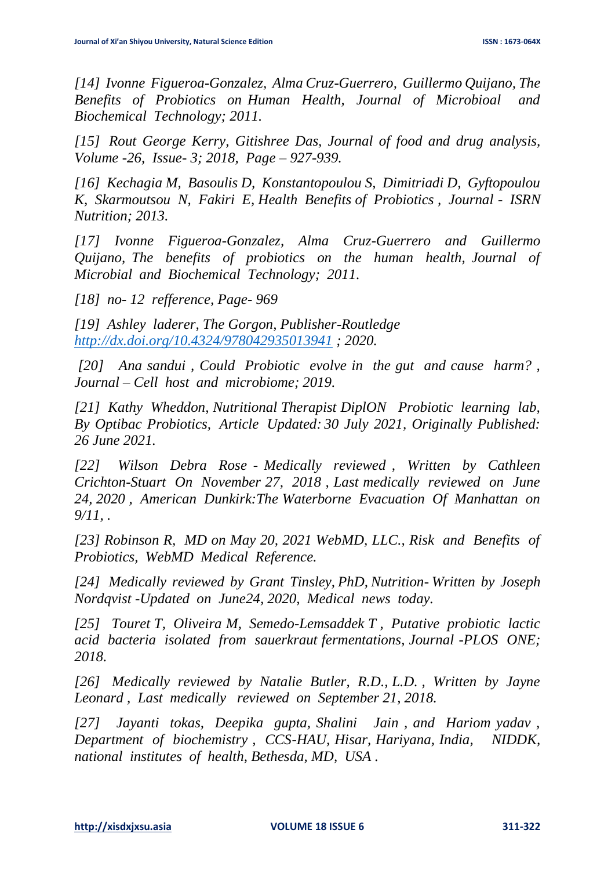*[14] Ivonne Figueroa-Gonzalez, Alma Cruz-Guerrero, Guillermo Quijano, The Benefits of Probiotics on Human Health, Journal of Microbioal and Biochemical Technology; 2011.*

*[15] Rout George Kerry, Gitishree Das, Journal of food and drug analysis, Volume -26, Issue- 3; 2018, Page – 927-939.*

*[16] Kechagia M, Basoulis D, Konstantopoulou S, Dimitriadi D, Gyftopoulou K, Skarmoutsou N, Fakiri E, Health Benefits of Probiotics , Journal - ISRN Nutrition; 2013.* 

*[17] Ivonne Figueroa-Gonzalez, Alma Cruz-Guerrero and Guillermo Quijano, The benefits of probiotics on the human health, Journal of Microbial and Biochemical Technology; 2011.*

*[18] no- 12 refference, Page- 969*

*[19] Ashley laderer, The Gorgon, Publisher-Routledge <http://dx.doi.org/10.4324/978042935013941> ; 2020.*

*[20] Ana sandui , Could Probiotic evolve in the gut and cause harm? , Journal – Cell host and microbiome; 2019.* 

*[21] Kathy Wheddon, Nutritional Therapist DiplON Probiotic learning lab, By Optibac Probiotics, Article Updated: 30 July 2021, Originally Published: 26 June 2021.*

*[22] Wilson Debra Rose - Medically reviewed , Written by Cathleen Crichton-Stuart On November 27, 2018 , Last medically reviewed on June 24, 2020 , American Dunkirk:The Waterborne Evacuation Of Manhattan on 9/11, .*

*[23] Robinson R, MD on May 20, 2021 WebMD, LLC., Risk and Benefits of Probiotics, WebMD Medical Reference.*

*[24] Medically reviewed by Grant Tinsley, PhD, Nutrition- Written by Joseph Nordqvist -Updated on June24, 2020, Medical news today.*

*[25] Touret T, Oliveira M, Semedo-Lemsaddek T , Putative probiotic lactic acid bacteria isolated from sauerkraut fermentations, Journal -PLOS ONE; 2018.*

*[26] Medically reviewed by Natalie Butler, R.D., L.D. , Written by Jayne Leonard , Last medically reviewed on September 21, 2018.*

*[27] Jayanti tokas, Deepika gupta, Shalini Jain , and Hariom yadav , Department of biochemistry , CCS-HAU, Hisar, Hariyana, India, NIDDK, national institutes of health, Bethesda, MD, USA .*